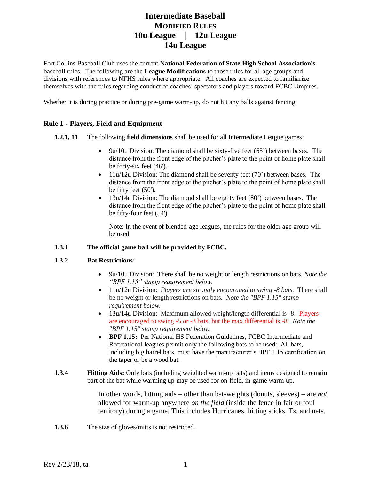Fort Collins Baseball Club uses the current **National Federation of State High School Association's** baseball rules. The following are the **League Modifications** to those rules for all age groups and divisions with references to NFHS rules where appropriate. All coaches are expected to familiarize themselves with the rules regarding conduct of coaches, spectators and players toward FCBC Umpires.

Whether it is during practice or during pre-game warm-up, do not hit any balls against fencing.

## **Rule 1 - Players, Field and Equipment**

- **1.2.1, 11** The following **field dimensions** shall be used for all Intermediate League games:
	- 9u/10u Division: The diamond shall be sixty-five feet (65') between bases. The distance from the front edge of the pitcher's plate to the point of home plate shall be forty-six feet (46').
	- 11u/12u Division: The diamond shall be seventy feet (70') between bases. The distance from the front edge of the pitcher's plate to the point of home plate shall be fifty feet (50').
	- 13u/14u Division: The diamond shall be eighty feet (80') between bases. The distance from the front edge of the pitcher's plate to the point of home plate shall be fifty-four feet (54').

Note: In the event of blended-age leagues, the rules for the older age group will be used.

### **1.3.1 The official game ball will be provided by FCBC.**

#### **1.3.2 Bat Restrictions:**

- 9u/10u Division: There shall be no weight or length restrictions on bats. *Note the "BPF 1.15" stamp requirement below.*
- 11u/12u Division: *Players are strongly encouraged to swing -8 bats.* There shall be no weight or length restrictions on bats. *Note the "BPF 1.15" stamp requirement below.*
- 13u/14u Division: Maximum allowed weight/length differential is -8. Players are encouraged to swing -5 or -3 bats, but the max differential is -8. *Note the "BPF 1.15" stamp requirement below.*
- **BPF 1.15:** Per National HS Federation Guidelines, FCBC Intermediate and Recreational leagues permit only the following bats to be used: All bats, including big barrel bats, must have the manufacturer's BPF 1.15 certification on the taper or be a wood bat.
- **1.3.4 Hitting Aids:** Only bats (including weighted warm-up bats) and items designed to remain part of the bat while warming up may be used for on-field, in-game warm-up.

In other words, hitting aids – other than bat-weights (donuts, sleeves) – are *not* allowed for warm-up anywhere *on the field* (inside the fence in fair or foul territory) during a game. This includes Hurricanes, hitting sticks, Ts, and nets.

**1.3.6** The size of gloves/mitts is not restricted.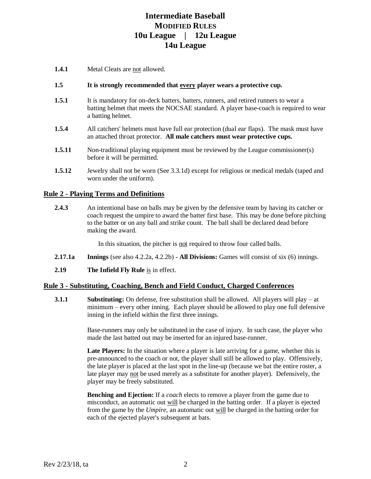**1.4.1** Metal Cleats are not allowed.

#### **1.5 It is strongly recommended that every player wears a protective cup.**

- **1.5.1** It is mandatory for on-deck batters, batters, runners, and retired runners to wear a batting helmet that meets the NOCSAE standard. A player base-coach is required to wear a batting helmet.
- **1.5.4** All catchers' helmets must have full ear protection (dual ear flaps). The mask must have an attached throat protector. **All male catchers must wear protective cups.**
- **1.5.11** Non-traditional playing equipment must be reviewed by the League commissioner(s) before it will be permitted.
- **1.5.12** Jewelry shall not be worn (See 3.3.1d) except for religious or medical medals (taped and worn under the uniform).

### **Rule 2 - Playing Terms and Definitions**

**2.4.3** An intentional base on balls may be given by the defensive team by having its catcher or coach request the umpire to award the batter first base. This may be done before pitching to the batter or on any ball and strike count. The ball shall be declared dead before making the award.

In this situation, the pitcher is not required to throw four called balls.

- **2.17.1a Innings** (see also 4.2.2a, 4.2.2b) **- All Divisions:** Games will consist of six (6) innings.
- **2.19 The Infield Fly Rule** is in effect.

#### **Rule 3 - Substituting, Coaching, Bench and Field Conduct, Charged Conferences**

**3.1.1 Substituting:** On defense, free substitution shall be allowed. All players will play – at minimum – every other inning. Each player should be allowed to play one full defensive inning in the infield within the first three innings.

> Base-runners may only be substituted in the case of injury. In such case, the player who made the last batted out may be inserted for an injured base-runner.

> Late Players: In the situation where a player is late arriving for a game, whether this is pre-announced to the coach or not, the player shall still be allowed to play. Offensively, the late player is placed at the last spot in the line-up (because we bat the entire roster, a late player may not be used merely as a substitute for another player). Defensively, the player may be freely substituted.

> **Benching and Ejection:** If a *coach* elects to remove a player from the game due to misconduct, an automatic out will be charged in the batting order. If a player is ejected from the game by the *Umpire,* an automatic out will be charged in the batting order for each of the ejected player's subsequent at bats.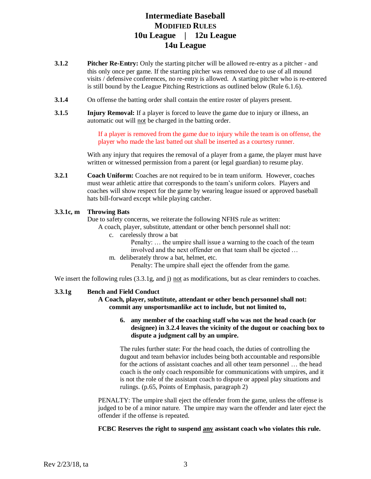- **3.1.2 Pitcher Re-Entry:** Only the starting pitcher will be allowed re-entry as a pitcher and this only once per game. If the starting pitcher was removed due to use of all mound visits / defensive conferences, no re-entry is allowed. A starting pitcher who is re-entered is still bound by the League Pitching Restrictions as outlined below (Rule 6.1.6).
- **3.1.4** On offense the batting order shall contain the entire roster of players present.
- **3.1.5** Injury **Removal:** If a player is forced to leave the game due to injury or illness, an automatic out will not be charged in the batting order.

If a player is removed from the game due to injury while the team is on offense, the player who made the last batted out shall be inserted as a courtesy runner.

With any injury that requires the removal of a player from a game, the player must have written or witnessed permission from a parent (or legal guardian) to resume play.

**3.2.1 Coach Uniform:** Coaches are not required to be in team uniform. However, coaches must wear athletic attire that corresponds to the team's uniform colors. Players and coaches will show respect for the game by wearing league issued or approved baseball hats bill-forward except while playing catcher.

### **3.3.1c, m Throwing Bats**

Due to safety concerns, we reiterate the following NFHS rule as written:

- A coach, player, substitute, attendant or other bench personnel shall not:
	- c. carelessly throw a bat
		- Penalty: … the umpire shall issue a warning to the coach of the team involved and the next offender on that team shall be ejected …
	- m. deliberately throw a bat, helmet, etc.

Penalty: The umpire shall eject the offender from the game.

We insert the following rules (3.3.1g, and j) not as modifications, but as clear reminders to coaches.

#### **3.3.1g Bench and Field Conduct**

**A Coach, player, substitute, attendant or other bench personnel shall not: commit any unsportsmanlike act to include, but not limited to,**

### **6. any member of the coaching staff who was not the head coach (or designee) in 3.2.4 leaves the vicinity of the dugout or coaching box to dispute a judgment call by an umpire.**

The rules further state: For the head coach, the duties of controlling the dugout and team behavior includes being both accountable and responsible for the actions of assistant coaches and all other team personnel … the head coach is the only coach responsible for communications with umpires, and it is not the role of the assistant coach to dispute or appeal play situations and rulings. (p.65, Points of Emphasis, paragraph 2)

PENALTY: The umpire shall eject the offender from the game, unless the offense is judged to be of a minor nature. The umpire may warn the offender and later eject the offender if the offense is repeated.

**FCBC Reserves the right to suspend any assistant coach who violates this rule.**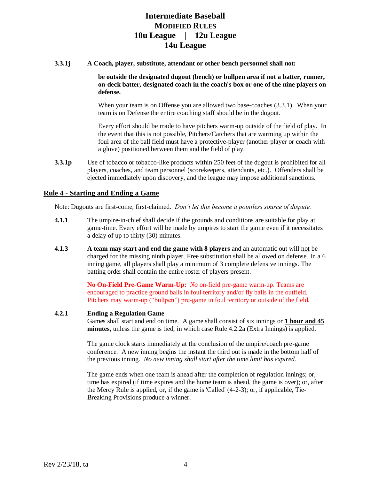**3.3.1j A Coach, player, substitute, attendant or other bench personnel shall not:** 

**be outside the designated dugout (bench) or bullpen area if not a batter, runner, on-deck batter, designated coach in the coach's box or one of the nine players on defense.**

When your team is on Offense you are allowed two base-coaches (3.3.1). When your team is on Defense the entire coaching staff should be in the dugout.

Every effort should be made to have pitchers warm-up outside of the field of play. In the event that this is not possible, Pitchers/Catchers that are warming up within the foul area of the ball field must have a protective-player (another player or coach with a glove) positioned between them and the field of play.

**3.3.1p** Use of tobacco or tobacco-like products within 250 feet of the dugout is prohibited for all players, coaches, and team personnel (scorekeepers, attendants, etc.). Offenders shall be ejected immediately upon discovery, and the league may impose additional sanctions.

### **Rule 4 - Starting and Ending a Game**

Note: Dugouts are first-come, first-claimed. *Don't let this become a pointless source of dispute.*

- **4.1.1** The umpire-in-chief shall decide if the grounds and conditions are suitable for play at game-time. Every effort will be made by umpires to start the game even if it necessitates a delay of up to thirty (30) minutes.
- **4.1.3 A team may start and end the game with 8 players** and an automatic out will not be charged for the missing ninth player. Free substitution shall be allowed on defense. In a 6 inning game, all players shall play a minimum of 3 complete defensive innings. The batting order shall contain the entire roster of players present.

**No On-Field Pre-Game Warm-Up:** *No* on-field pre-game warm-up. Teams are encouraged to practice ground balls in foul territory and/or fly balls in the outfield. Pitchers may warm-up ("bullpen") pre-game in foul territory or outside of the field.

#### **4.2.1 Ending a Regulation Game**

Games shall start and end on time. A game shall consist of six innings or **1 hour and 45 minutes**, unless the game is tied, in which case Rule 4.2.2a (Extra Innings) is applied.

The game clock starts immediately at the conclusion of the umpire/coach pre-game conference. A new inning begins the instant the third out is made in the bottom half of the previous inning. *No new inning shall start after the time limit has expired.* 

The game ends when one team is ahead after the completion of regulation innings; or, time has expired (if time expires and the home team is ahead, the game is over); or, after the Mercy Rule is applied, or, if the game is 'Called' (4-2-3); or, if applicable, Tie-Breaking Provisions produce a winner.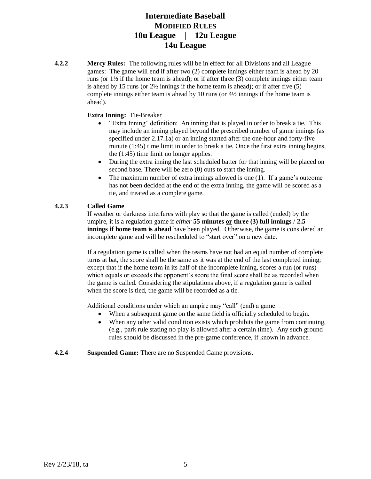**4.2.2 Mercy Rules:** The following rules will be in effect for all Divisions and all League games: The game will end if after two (2) complete innings either team is ahead by 20 runs (or  $1\frac{1}{2}$  if the home team is ahead); or if after three (3) complete innings either team is ahead by 15 runs (or 2½ innings if the home team is ahead); or if after five (5) complete innings either team is ahead by 10 runs (or  $4\frac{1}{2}$  innings if the home team is ahead).

### **Extra Inning:** Tie-Breaker

- "Extra Inning" definition: An inning that is played in order to break a tie. This may include an inning played beyond the prescribed number of game innings (as specified under 2.17.1a) or an inning started after the one-hour and forty-five minute (1:45) time limit in order to break a tie. Once the first extra inning begins, the (1:45) time limit no longer applies.
- During the extra inning the last scheduled batter for that inning will be placed on second base. There will be zero (0) outs to start the inning.
- The maximum number of extra innings allowed is one (1). If a game's outcome has not been decided at the end of the extra inning, the game will be scored as a tie, and treated as a complete game.

### **4.2.3 Called Game**

If weather or darkness interferes with play so that the game is called (ended) by the umpire, it is a regulation game if *either* **55 minutes or three (3) full innings** / **2.5 innings if home team is ahead** have been played. Otherwise, the game is considered an incomplete game and will be rescheduled to "start over" on a new date.

If a regulation game is called when the teams have not had an equal number of complete turns at bat, the score shall be the same as it was at the end of the last completed inning; except that if the home team in its half of the incomplete inning, scores a run (or runs) which equals or exceeds the opponent's score the final score shall be as recorded when the game is called. Considering the stipulations above, if a regulation game is called when the score is tied, the game will be recorded as a tie.

Additional conditions under which an umpire may "call" (end) a game:

- When a subsequent game on the same field is officially scheduled to begin.
- When any other valid condition exists which prohibits the game from continuing, (e.g., park rule stating no play is allowed after a certain time). Any such ground rules should be discussed in the pre-game conference, if known in advance.
- **4.2.4 Suspended Game:** There are no Suspended Game provisions.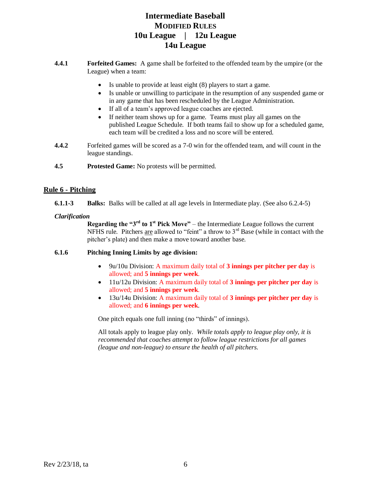- **4.4.1 Forfeited Games:** A game shall be forfeited to the offended team by the umpire (or the League) when a team:
	- Is unable to provide at least eight (8) players to start a game.
	- Is unable or unwilling to participate in the resumption of any suspended game or in any game that has been rescheduled by the League Administration.
	- If all of a team's approved league coaches are ejected.
	- If neither team shows up for a game. Teams must play all games on the published League Schedule. If both teams fail to show up for a scheduled game, each team will be credited a loss and no score will be entered.
- **4.4.2** Forfeited games will be scored as a 7-0 win for the offended team, and will count in the league standings.
- **4.5 Protested Game:** No protests will be permitted.

## **Rule 6 - Pitching**

**6.1.1-3 Balks:** Balks will be called at all age levels in Intermediate play. (See also 6.2.4-5)

### *Clarification*

**Regarding the "** $3<sup>rd</sup>$  **to**  $1<sup>st</sup>$  **Pick Move" – the Intermediate League follows the current** NFHS rule. Pitchers are allowed to "feint" a throw to  $3<sup>rd</sup>$  Base (while in contact with the pitcher's plate) and then make a move toward another base.

### **6.1.6 Pitching Inning Limits by age division:**

- 9u/10u Division: A maximum daily total of **3 innings per pitcher per day** is allowed; and **5 innings per week**.
- 11u/12u Division: A maximum daily total of **3 innings per pitcher per day** is allowed; and **5 innings per week**.
- 13u/14u Division: A maximum daily total of **3 innings per pitcher per day** is allowed; and **6 innings per week**.

One pitch equals one full inning (no "thirds" of innings).

All totals apply to league play only. *While totals apply to league play only, it is recommended that coaches attempt to follow league restrictions for all games (league and non-league) to ensure the health of all pitchers.*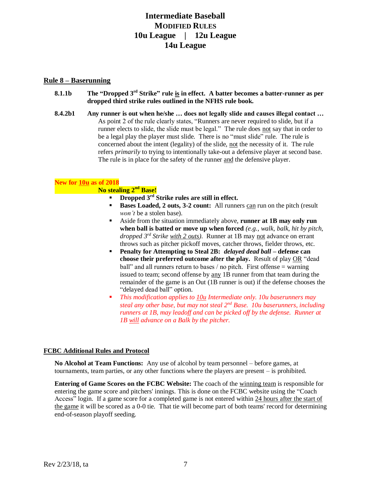### **Rule 8 – Baserunning**

- **8.1.1b The "Dropped 3rd Strike" rule is in effect. A batter becomes a batter-runner as per dropped third strike rules outlined in the NFHS rule book.**
- **8.4.2b1 Any runner is out when he/she … does not legally slide and causes illegal contact …** As point 2 of the rule clearly states, "Runners are never required to slide, but if a runner elects to slide, the slide must be legal." The rule does not say that in order to be a legal play the player must slide. There is no "must slide" rule. The rule is concerned about the intent (legality) of the slide, not the necessity of it. The rule refers *primarily* to trying to intentionally take-out a defensive player at second base. The rule is in place for the safety of the runner and the defensive player.

### **New for 10u as of 2018**

## **No stealing 2nd Base!**

- **Dropped 3rd Strike rules are still in effect.**
- **Bases Loaded, 2 outs, 3-2 count:** All runners can run on the pitch (result) *won't* be a stolen base).
- Aside from the situation immediately above, **runner at 1B may only run when ball is batted or move up when forced** *(e.g., walk, balk, hit by pitch, dropped 3rd Strike with 2 outs).* Runner at 1B may not advance on errant throws such as pitcher pickoff moves, catcher throws, fielder throws, etc.
- **Penalty for Attempting to Steal 2B:** *delayed dead ball* **– defense can choose their preferred outcome after the play.** Result of play OR "dead ball" and all runners return to bases / no pitch. First offense  $=$  warning issued to team; second offense by any 1B runner from that team during the remainder of the game is an Out (1B runner is out) if the defense chooses the "delayed dead ball" option.
- *This modification applies to 10u Intermediate only. 10u baserunners may steal any other base, but may not steal 2nd Base. 10u baserunners, including runners at 1B, may leadoff and can be picked off by the defense. Runner at 1B will advance on a Balk by the pitcher.*

## **FCBC Additional Rules and Protocol**

**No Alcohol at Team Functions:** Any use of alcohol by team personnel – before games, at tournaments, team parties, or any other functions where the players are present – is prohibited.

**Entering of Game Scores on the FCBC Website:** The coach of the winning team is responsible for entering the game score and pitchers' innings. This is done on the FCBC website using the "Coach Access" login. If a game score for a completed game is not entered within 24 hours after the start of the game it will be scored as a 0-0 tie. That tie will become part of both teams' record for determining end-of-season playoff seeding.